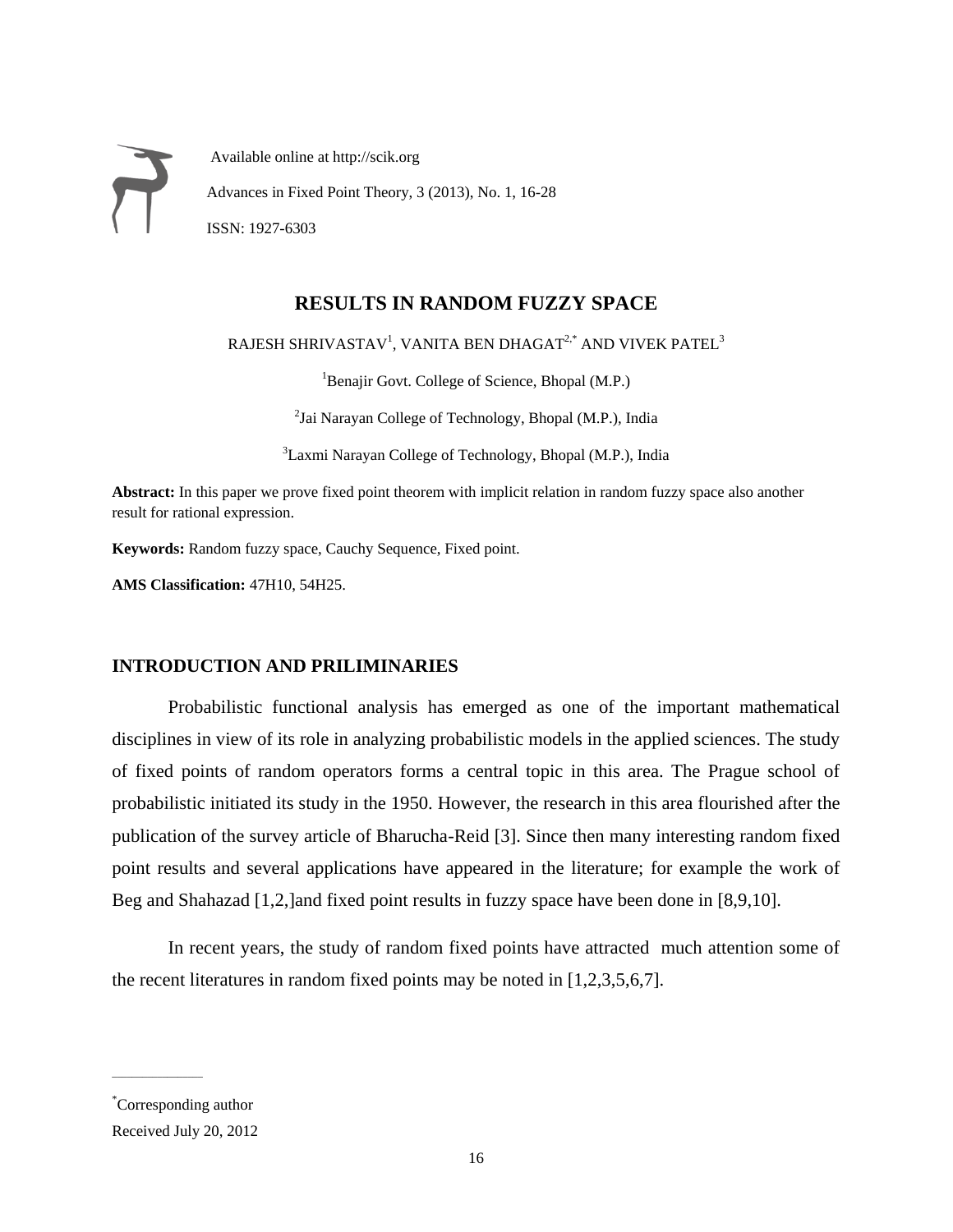Available online at http://scik.org Advances in Fixed Point Theory, 3 (2013), No. 1, 16-28 ISSN: 1927-6303

## **RESULTS IN RANDOM FUZZY SPACE**

RAJESH SHRIVASTAV $^{\rm l}$ , VANITA BEN DHAGAT $^{2,*}$  AND VIVEK PATEL $^{\rm 3}$ 

<sup>1</sup>Benajir Govt. College of Science, Bhopal (M.P.)

<sup>2</sup>Jai Narayan College of Technology, Bhopal (M.P.), India

<sup>3</sup>Laxmi Narayan College of Technology, Bhopal (M.P.), India

**Abstract:** In this paper we prove fixed point theorem with implicit relation in random fuzzy space also another result for rational expression.

**Keywords:** Random fuzzy space, Cauchy Sequence, Fixed point.

**AMS Classification:** 47H10, 54H25.

## **INTRODUCTION AND PRILIMINARIES**

Probabilistic functional analysis has emerged as one of the important mathematical disciplines in view of its role in analyzing probabilistic models in the applied sciences. The study of fixed points of random operators forms a central topic in this area. The Prague school of probabilistic initiated its study in the 1950. However, the research in this area flourished after the publication of the survey article of Bharucha-Reid [3]. Since then many interesting random fixed point results and several applications have appeared in the literature; for example the work of Beg and Shahazad [1,2,]and fixed point results in fuzzy space have been done in [8,9,10].

In recent years, the study of random fixed points have attracted much attention some of the recent literatures in random fixed points may be noted in [1,2,3,5,6,7].

 $\overline{\phantom{a}}$  , where  $\overline{\phantom{a}}$ 

<sup>\*</sup>Corresponding author

Received July 20, 2012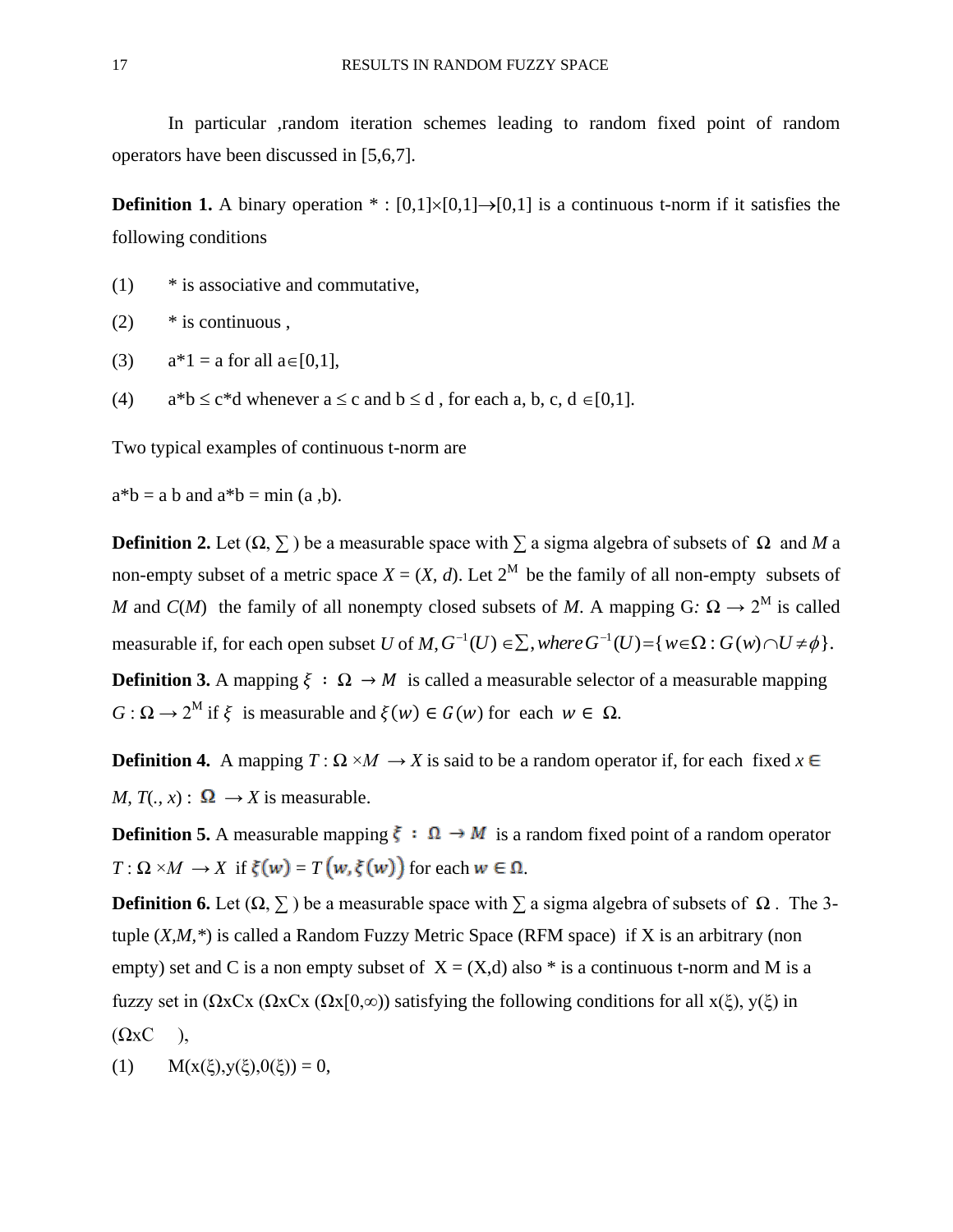In particular ,random iteration schemes leading to random fixed point of random operators have been discussed in [5,6,7].

**Definition 1.** A binary operation  $* : [0,1] \times [0,1] \rightarrow [0,1]$  is a continuous t-norm if it satisfies the following conditions

(1) \* is associative and commutative,

 $(2)$  \* is continuous.

- (3)  $a*1 = a$  for all  $a \in [0,1]$ ,
- (4)  $a^*b \leq c^*d$  whenever  $a \leq c$  and  $b \leq d$ , for each a, b, c,  $d \in [0,1]$ .

Two typical examples of continuous t-norm are

 $a^*b = a b$  and  $a^*b = min(a, b)$ .

**Definition 2.** Let  $(Ω, Σ)$  be a measurable space with  $Σ$  a sigma algebra of subsets of  $Ω$  and *M* a non-empty subset of a metric space  $X = (X, d)$ . Let  $2^M$  be the family of all non-empty subsets of *M* and *C*(*M*) the family of all nonempty closed subsets of *M*. A mapping G:  $\Omega \to 2^M$  is called measurable if, for each open subset *U* of  $M$ ,  $G^{-1}(U) \in \Sigma$ , where  $G^{-1}(U) = \{ w \in \Omega : G(w) \cap U \neq \emptyset \}.$ **Definition 3.** A mapping  $\xi : \Omega \to M$  is called a measurable selector of a measurable mapping *G* :  $\Omega \to 2^M$  if  $\xi$  is measurable and  $\xi(w) \in G(w)$  for each  $w \in \Omega$ .

**Definition 4.** A mapping  $T: \Omega \times M \to X$  is said to be a random operator if, for each fixed  $x \in$ *M*,  $T(., x) : \Omega \rightarrow X$  is measurable.

**Definition 5.** A measurable mapping  $\xi : \Omega \to M$  is a random fixed point of a random operator  $T: \Omega \times M \to X$  if  $\xi(w) = T(w, \xi(w))$  for each  $w \in \Omega$ .

**Definition 6.** Let  $(\Omega, \Sigma)$  be a measurable space with  $\Sigma$  a sigma algebra of subsets of  $\Omega$ . The 3tuple (*X,M,\**) is called a Random Fuzzy Metric Space (RFM space) if X is an arbitrary (non empty) set and C is a non empty subset of  $X = (X,d)$  also  $*$  is a continuous t-norm and M is a fuzzy set in ( $\Omega$ xCx ( $\Omega$ xCx ( $\Omega$ x[0, $\infty$ )) satisfying the following conditions for all x( $\xi$ ), y( $\xi$ ) in  $(\Omega xC)$ ,

(1)  $M(x(\xi),y(\xi),0(\xi)) = 0$ ,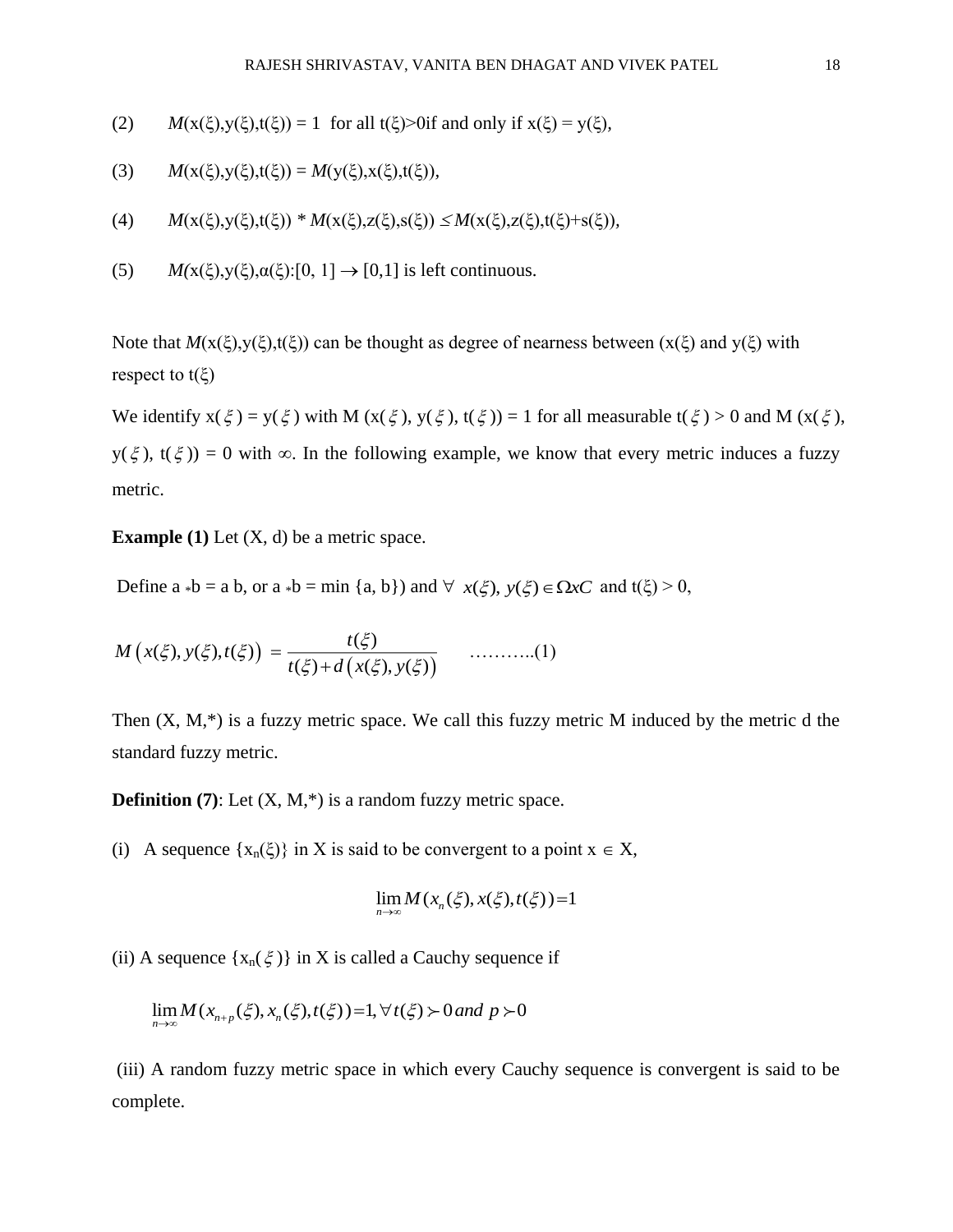- (2)  $M(x(\xi),y(\xi),t(\xi)) = 1$  for all  $t(\xi) > 0$  if and only if  $x(\xi) = y(\xi)$ ,
- (3)  $M(x(\xi),y(\xi),t(\xi)) = M(y(\xi),x(\xi),t(\xi)),$
- (4)  $M(x(\xi),y(\xi),t(\xi)) * M(x(\xi),z(\xi),s(\xi)) \leq M(x(\xi),z(\xi),t(\xi)+s(\xi)),$
- (5)  $M(x(\xi),y(\xi),\alpha(\xi))$ :[0, 1]  $\rightarrow$  [0,1] is left continuous.

Note that  $M(x(\xi),y(\xi),t(\xi))$  can be thought as degree of nearness between  $(x(\xi))$  and  $y(\xi)$  with respect to  $t(\xi)$ 

We identify  $x(\xi) = y(\xi)$  with M  $(x(\xi), y(\xi), t(\xi)) = 1$  for all measurable  $t(\xi) > 0$  and M  $(x(\xi),$  $y(\xi)$ ,  $t(\xi)$ ) = 0 with  $\infty$ . In the following example, we know that every metric induces a fuzzy metric.

**Example (1)** Let  $(X, d)$  be a metric space.

Define  $a * b = a b$ , or  $a * b = min \{a, b\}$  and  $\forall x(\xi), y(\xi) \in \Omega xC$  and  $t(\xi) > 0$ ,

$$
M(x(\xi), y(\xi), t(\xi)) = \frac{t(\xi)}{t(\xi) + d(x(\xi), y(\xi))}
$$
 .........(1)

Then  $(X, M,^*)$  is a fuzzy metric space. We call this fuzzy metric M induced by the metric d the standard fuzzy metric.

**Definition (7):** Let  $(X, M, *)$  is a random fuzzy metric space.

(i) A sequence  $\{x_n(\xi)\}\$ in X is said to be convergent to a point  $x \in X$ ,

$$
\lim_{n\to\infty} M(x_n(\xi), x(\xi), t(\xi)) = 1
$$

(ii) A sequence  $\{x_n(\xi)\}\$ in X is called a Cauchy sequence if

$$
\lim_{n \to \infty} M(x_{n+p}(\xi), x_n(\xi), t(\xi)) = 1, \forall t(\xi) > 0 \text{ and } p > 0
$$

(iii) A random fuzzy metric space in which every Cauchy sequence is convergent is said to be complete.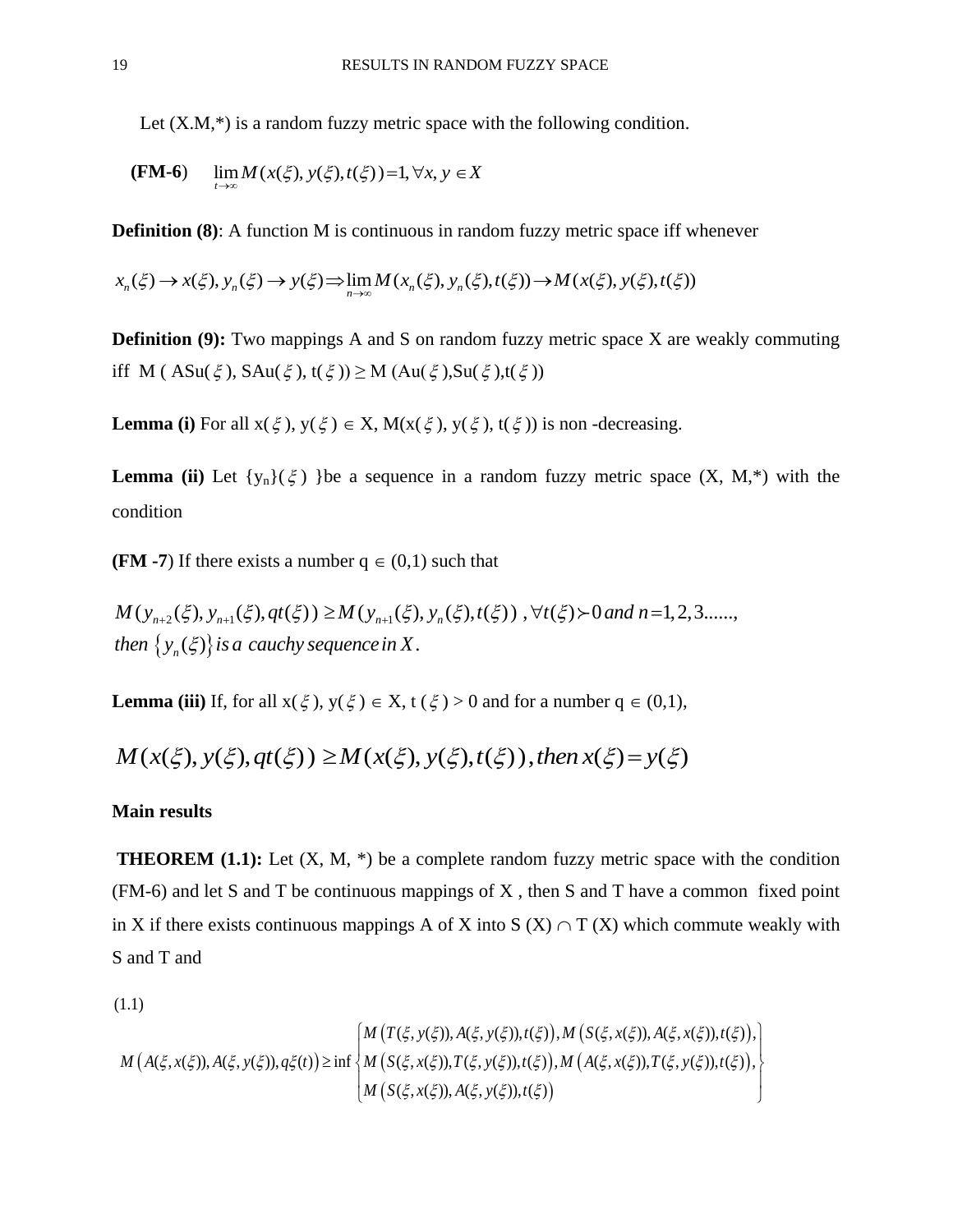Let  $(X.M,*)$  is a random fuzzy metric space with the following condition.

$$
(FM-6) \quad \lim M(x(\xi), y(\xi), t(\xi)) = 1, \forall x, y \in X
$$

*t*

**Definition (8):** A function M is continuous in random fuzzy metric space iff whenever

$$
x_n(\xi) \to x(\xi), y_n(\xi) \to y(\xi) \implies \lim_{n \to \infty} M(x_n(\xi), y_n(\xi), t(\xi)) \to M(x(\xi), y(\xi), t(\xi))
$$

**Definition (9):** Two mappings A and S on random fuzzy metric space X are weakly commuting iff M (ASu( $\xi$ ), SAu( $\xi$ ), t( $\xi$ ))  $\geq M$  (Au( $\xi$ ),Su( $\xi$ ),t( $\xi$ ))

**Lemma (i)** For all  $x(\xi)$ ,  $y(\xi) \in X$ ,  $M(x(\xi), y(\xi), t(\xi))$  is non-decreasing.

**Lemma (ii)** Let  $\{y_n\}(\xi)$  }be a sequence in a random fuzzy metric space  $(X, M,^*)$  with the condition

**(FM -7)** If there exists a number  $q \in (0,1)$  such that

 $\{y_n(\xi)\}\$ **M -7**) If there exists a number  $q \in (0,1)$  such that<br>  $(y_{n+2}(\xi), y_{n+1}(\xi), qt(\xi)) \ge M(y_{n+1}(\xi), y_n(\xi), t(\xi))$ ,  $\forall t(\xi) > 0$  and  $n = 1, 2, 3, \dots$ **(FM -7)** If there exists a number  $q \in (0,1)$  such that<br>  $M(y_{n+2}(\xi), y_{n+1}(\xi), qt(\xi)) \geq M(y_{n+1}(\xi), y_n(\xi), t(\xi))$ ,  $\forall t(\xi) \succ 0$  and n<br>
then  $\{y_n(\xi)\}\$  is a cauchy sequence in X. *then*  $\{y_{n+2}(\xi), y_{n+1}(\xi), qt(\xi)\} \geq M(y_{n+1}(\xi))$ <br>then  $\{y_n(\xi)\}$  is a cauchy sequence in X 7) If there exists a number  $q \in (0,1)$  such that<br>  $\psi_{+2}(\xi), y_{n+1}(\xi), qt(\xi)) \geq M(y_{n+1}(\xi), y_n(\xi), t(\xi))$ ,  $\forall t(\xi) > 0$  and  $n = 1, 2, 3, \dots$ 

**Lemma (iii)** If, for all  $x(\xi)$ ,  $y(\xi) \in X$ ,  $t(\xi) > 0$  and for a number  $q \in (0,1)$ ,

$$
M(x(\xi), y(\xi), qt(\xi)) \geq M(x(\xi), y(\xi), t(\xi)),
$$
 then  $x(\xi) = y(\xi)$ 

## **Main results**

**THEOREM (1.1):** Let  $(X, M, *)$  be a complete random fuzzy metric space with the condition (FM-6) and let S and T be continuous mappings of X , then S and T have a common fixed point in X if there exists continuous mappings A of X into S  $(X) \cap T(X)$  which commute weakly with S and T and

(1.1)

$$
M(A(\xi, x(\xi)), A(\xi, y(\xi)), q\xi(t)) \ge \inf \left\{ \begin{aligned} & M\left(T(\xi, y(\xi)), A(\xi, y(\xi)), t(\xi)\right), M\left(S(\xi, x(\xi)), A(\xi, x(\xi)), t(\xi)\right), \\ & M\left(S(\xi, x(\xi)), T(\xi, y(\xi)), t(\xi)\right), M\left(A(\xi, x(\xi)), T(\xi, y(\xi)), t(\xi)\right), \\ & M\left(S(\xi, x(\xi)), A(\xi, y(\xi)), t(\xi)\right) \end{aligned} \right\}
$$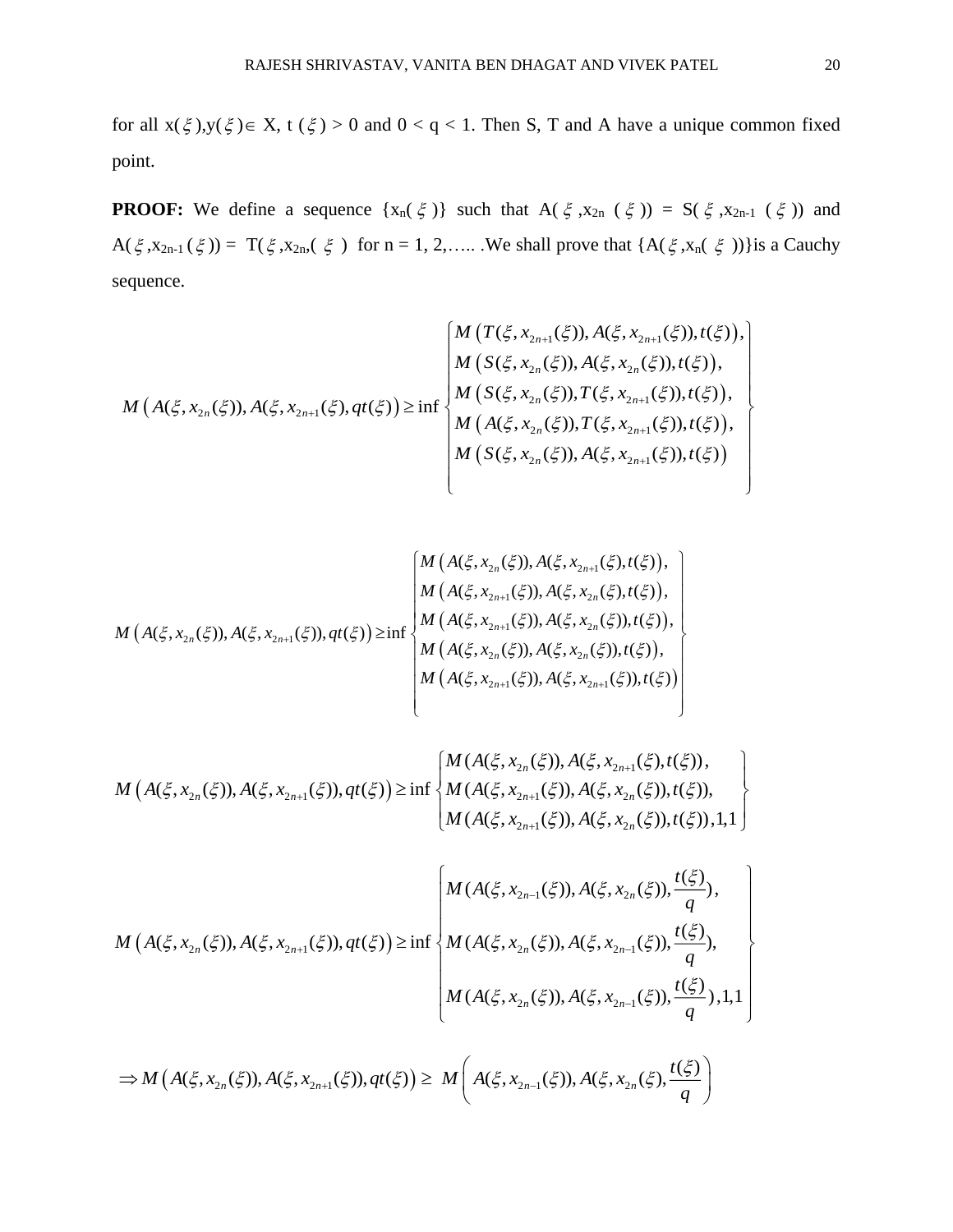for all  $x(\xi), y(\xi) \in X$ ,  $t(\xi) > 0$  and  $0 < q < 1$ . Then S, T and A have a unique common fixed point.

**PROOF:** We define a sequence  $\{x_n(\xi)\}\$  such that  $A(\xi, x_{2n}(\xi)) = S(\xi, x_{2n-1}(\xi))$  and  $A(\xi, x_{2n-1}(\xi)) = T(\xi, x_{2n}, (\xi))$  for  $n = 1, 2, \dots$ . We shall prove that  $\{A(\xi, x_n(\xi))\}$  is a Cauchy sequence.

$$
M\left(A(\xi,x_{2n}(\xi)),A(\xi,x_{2n+1}(\xi),qt(\xi))\right) \geq \inf \begin{cases} M\left(T(\xi,x_{2n+1}(\xi)),A(\xi,x_{2n+1}(\xi)),t(\xi)\right),\\ M\left(S(\xi,x_{2n}(\xi)),A(\xi,x_{2n}(\xi)),t(\xi)\right),\\ M\left(S(\xi,x_{2n}(\xi)),T(\xi,x_{2n+1}(\xi)),t(\xi)\right),\\ M\left(A(\xi,x_{2n}(\xi)),T(\xi,x_{2n+1}(\xi)),t(\xi)\right),\\ M\left(S(\xi,x_{2n}(\xi)),A(\xi,x_{2n+1}(\xi)),t(\xi)\right)\\ \end{cases}
$$

$$
M(A(\xi, x_{2n}(\xi)), A(\xi, x_{2n+1}(\xi)), A(\xi, x_{2n+1}(\xi)), A(\xi, x_{2n+1}(\xi)), A(\xi, x_{2n+1}(\xi)), A(\xi, x_{2n+1}(\xi)), A(\xi, x_{2n+1}(\xi)), A(\xi, x_{2n+1}(\xi)), A(\xi, x_{2n}(\xi)), t(\xi))
$$
\n
$$
M(A(\xi, x_{2n}(\xi)), A(\xi, x_{2n}(\xi)), A(\xi, x_{2n}(\xi)), t(\xi))
$$
\n
$$
M(A(\xi, x_{2n}(\xi)), A(\xi, x_{2n+1}(\xi)), A(\xi, x_{2n+1}(\xi)), t(\xi))
$$
\n
$$
M(A(\xi, x_{2n+1}(\xi)), A(\xi, x_{2n+1}(\xi)), t(\xi))
$$

$$
M\left(A(\xi,x_{2n}(\xi)),A(\xi,x_{2n+1}(\xi)),qt(\xi)\right)\geq \inf\left\{\begin{aligned} &M(A(\xi,x_{2n}(\xi)),A(\xi,x_{2n+1}(\xi),t(\xi)),\\ &M(A(\xi,x_{2n+1}(\xi)),A(\xi,x_{2n}(\xi)),t(\xi)),\\ &M(A(\xi,x_{2n+1}(\xi)),A(\xi,x_{2n}(\xi)),t(\xi)),1,1\end{aligned}\right\}
$$

$$
M(A(\xi, x_{2n}(\xi)), A(\xi, x_{2n+1}(\xi)), qt(\xi)) \ge \inf \left\{ M(A(\xi, x_{2n}(\xi)), A(\xi, x_{2n-1}(\xi)), \frac{t(\xi)}{q}),
$$
  

$$
M(A(\xi, x_{2n}(\xi)), A(\xi, x_{2n-1}(\xi)), \frac{t(\xi)}{q}),
$$
  

$$
M(A(\xi, x_{2n}(\xi)), A(\xi, x_{2n-1}(\xi)), \frac{t(\xi)}{q}), 1, 1 \right\}
$$

$$
\Rightarrow M(A(\xi, x_{2n}(\xi)), A(\xi, x_{2n+1}(\xi)), qt(\xi)) \ge M\left(A(\xi, x_{2n-1}(\xi)), A(\xi, x_{2n}(\xi), \frac{t(\xi)}{q})\right)
$$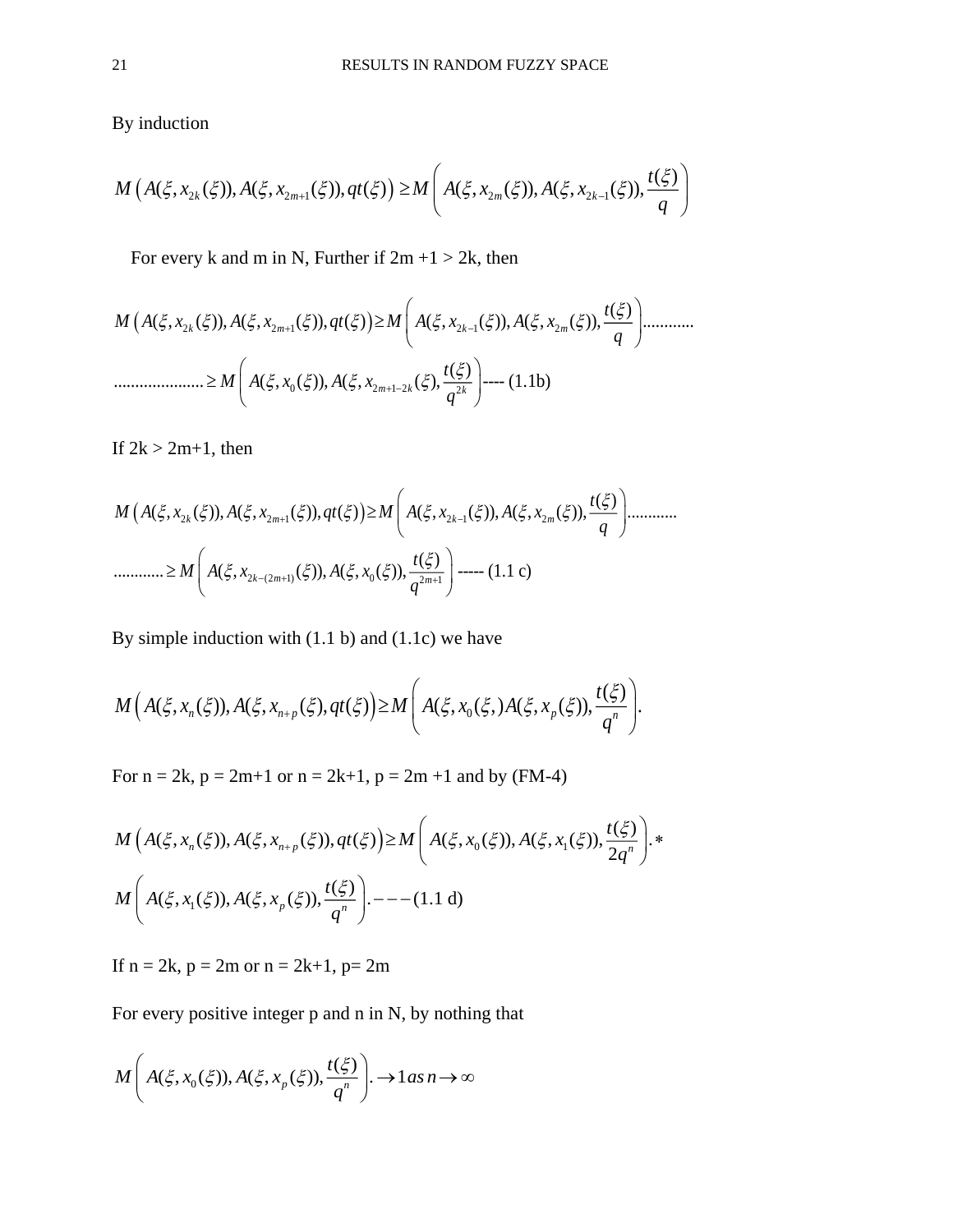By induction

$$
M(A(\xi, x_{2k}(\xi)), A(\xi, x_{2m+1}(\xi)), qt(\xi)) \ge M\left(A(\xi, x_{2m}(\xi)), A(\xi, x_{2k-1}(\xi)), \frac{t(\xi)}{q}\right)
$$

For every k and m in N, Further if  $2m + 1 > 2k$ , then

 2 2 1 2 1 2 0 2 1 2 2 ( ) ( , ( )), ( , ( )), ( ) ( , ( )), ( , ( )), ............ ( ) ..................... ( , ( )), ( , ( ), ---- (1.1b) *k m k m m k k <sup>t</sup> M A x A x qt M A x A x q <sup>t</sup> M A x A x q* 

If  $2k > 2m+1$ , then

 2 2 1 2 1 2 2 (2 1) 0 2 1 ( ) ( , ( )), ( , ( )), ( ) ( , ( )), ( , ( )), ............ ( ) ............ ( , ( )), ( , ( )), ----- (1.1 c) *k m k m k m <sup>m</sup> <sup>t</sup> M A x A x qt M A x A x q <sup>t</sup> M A x A x q* 

By simple induction with (1.1 b) and (1.1c) we have

$$
M\Big(A(\xi,x_n(\xi)),A(\xi,x_{n+p}(\xi),qt(\xi)\Big)\geq M\Bigg(A(\xi,x_0(\xi),A(\xi,x_p(\xi)),\frac{t(\xi)}{q^n}\Bigg).
$$

For  $n = 2k$ ,  $p = 2m+1$  or  $n = 2k+1$ ,  $p = 2m +1$  and by (FM-4)

$$
M\left(A(\xi, x_n(\xi)), A(\xi, x_{n+p}(\xi)), qt(\xi)\right) \ge M\left(A(\xi, x_0(\xi)), A(\xi, x_1(\xi)), \frac{t(\xi)}{2q^n}\right).*
$$
  

$$
M\left(A(\xi, x_1(\xi)), A(\xi, x_p(\xi)), \frac{t(\xi)}{q^n}\right) \cdot ---(1.1 d)
$$

If  $n = 2k$ ,  $p = 2m$  or  $n = 2k+1$ ,  $p = 2m$ 

For every positive integer p and n in N, by nothing that

$$
M\left(A(\xi, x_0(\xi)), A(\xi, x_p(\xi)), \frac{t(\xi)}{q^n}\right) \to 1 \text{ as } n \to \infty
$$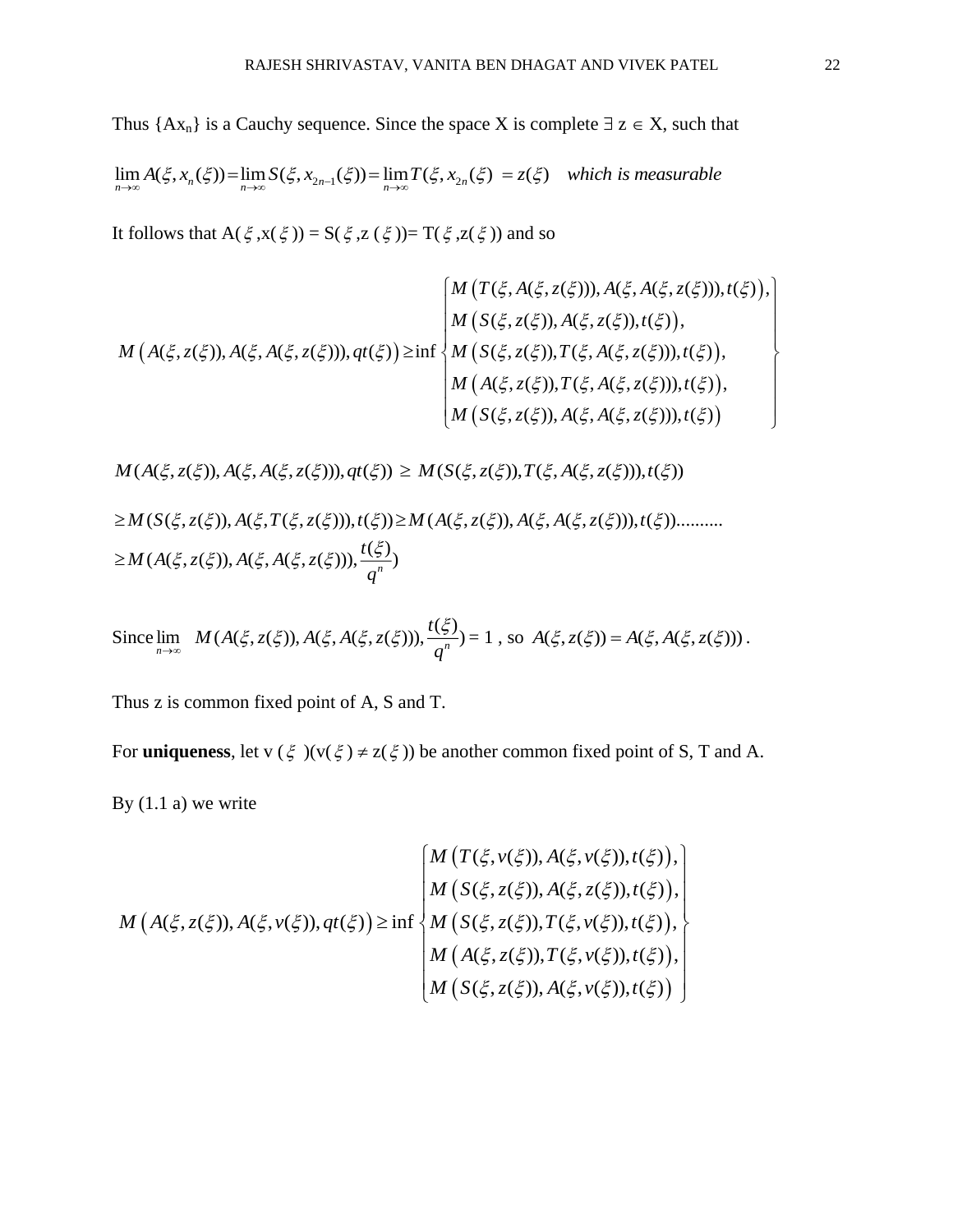Thus  ${Ax_n}$  is a Cauchy sequence. Since the space X is complete  $\exists z \in X$ , such that

 $\lim_{n\to\infty} A(\xi, x_n(\xi)) = \lim_{n\to\infty} S(\xi, x_{2n-1}(\xi)) = \lim_{n\to\infty} T(\xi, x_{2n}(\xi)) = z(\xi)$  which is measurable

It follows that  $A(\xi, x(\xi)) = S(\xi, z(\xi)) = T(\xi, z(\xi))$  and so

$$
M(A(\xi, z(\xi)), A(\xi, A(\xi, z(\xi))), qt(\xi)) = \begin{cases} M(T(\xi, A(\xi, z(\xi))), A(\xi, A(\xi, z(\xi))), t(\xi)), \\ M(S(\xi, z(\xi)), A(\xi, z(\xi)), t(\xi)), \\ M(S(\xi, z(\xi)), T(\xi, A(\xi, z(\xi))), t(\xi)), \\ M(S(\xi, z(\xi)), T(\xi, A(\xi, z(\xi))), t(\xi)), \\ M(S(\xi, z(\xi)), A(\xi, A(\xi, z(\xi))), t(\xi)) \end{cases}
$$

 $M(A(\xi, z(\xi)), A(\xi, A(\xi, z(\xi))), qt(\xi)) \geq M(S(\xi, z(\xi)), T(\xi, A(\xi, z(\xi))), t(\xi))$ 

$$
\geq M(S(\xi, z(\xi)), A(\xi, T(\xi, z(\xi))), t(\xi)) \geq M(A(\xi, z(\xi)), A(\xi, A(\xi, z(\xi))), t(\xi)) \dots \dots \dots
$$
  

$$
\geq M(A(\xi, z(\xi)), A(\xi, A(\xi, z(\xi))), \frac{t(\xi)}{q^n})
$$

Since  $\lim_{n\to\infty} M(A(\xi, z(\xi)), A(\xi, A(\xi, z(\xi))), \frac{t(\xi)}{a^n})$ *q*  $\xi$ ,  $z(\xi)$ ),  $A(\xi, A(\xi, z(\xi)))$ ,  $\frac{t(\xi)}{t} = 1$ , so  $A(\xi, z(\xi)) = A(\xi, A(\xi, z(\xi)))$ .

Thus z is common fixed point of A, S and T.

For **uniqueness**, let  $v(\xi)(v(\xi) \neq z(\xi))$  be another common fixed point of S, T and A.

By  $(1.1 a)$  we write

$$
M\left(A(\xi, z(\xi)), A(\xi, v(\xi)), g(t(\xi))\right) \geq \inf \begin{cases} M\left(T(\xi, v(\xi)), A(\xi, v(\xi)), t(\xi)\right), \\ M\left(S(\xi, z(\xi)), A(\xi, z(\xi)), t(\xi)\right), \\ M\left(S(\xi, z(\xi)), T(\xi, v(\xi)), t(\xi)\right), \\ M\left(A(\xi, z(\xi)), T(\xi, v(\xi)), t(\xi)\right), \\ M\left(S(\xi, z(\xi)), A(\xi, v(\xi)), t(\xi)\right) \end{cases}
$$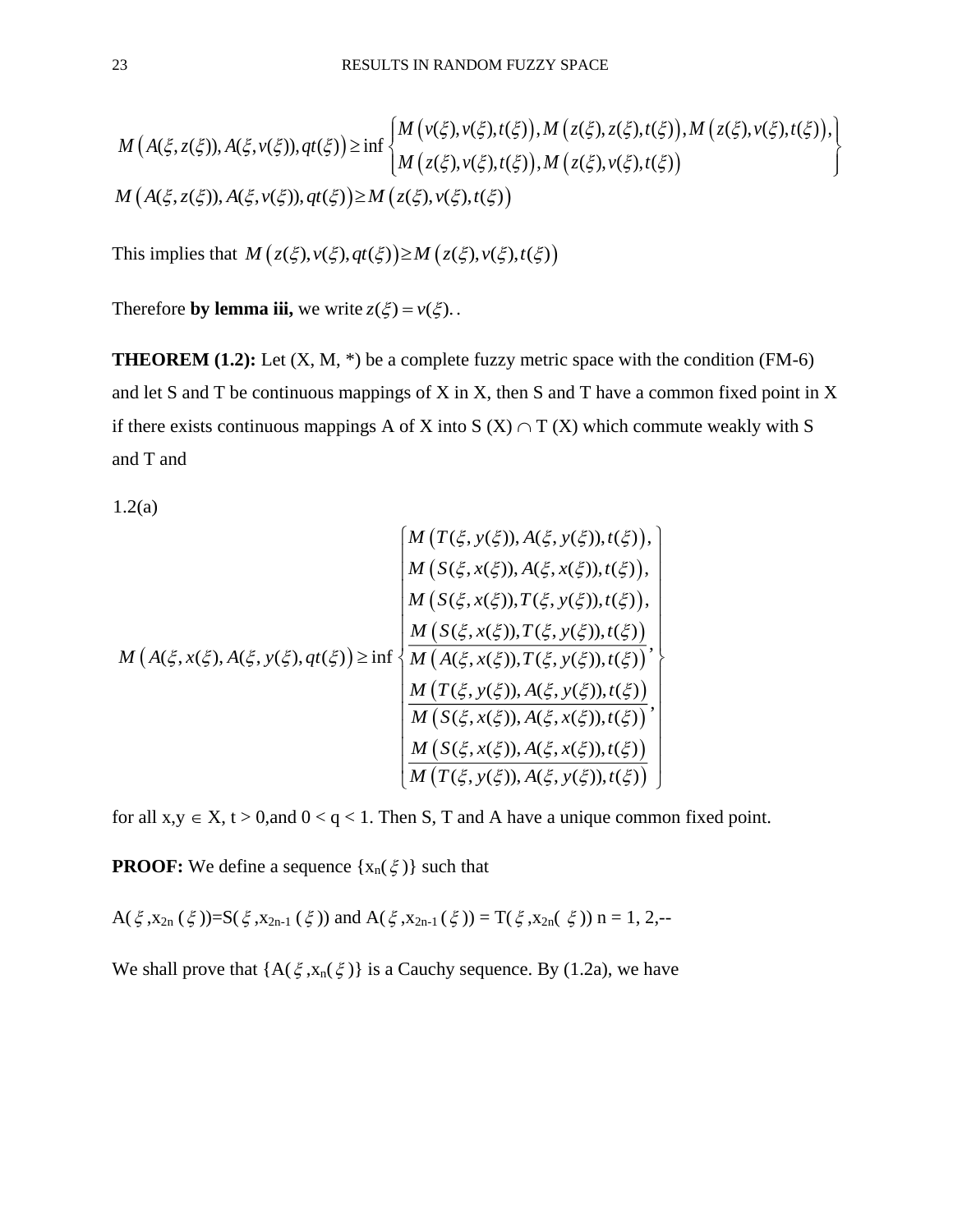$$
M\left(A(\xi,z(\xi)),A(\xi,v(\xi)),qt(\xi)\right) \geq \inf \begin{cases} M\left(v(\xi),v(\xi),t(\xi)\right), M\left(z(\xi),z(\xi),t(\xi)\right), M\left(z(\xi),v(\xi),t(\xi)\right),\\ M\left(z(\xi),v(\xi),t(\xi)\right), M\left(z(\xi),v(\xi),t(\xi)\right) \end{cases}
$$
  

$$
M\left(A(\xi,z(\xi)),A(\xi,v(\xi)),qt(\xi)\right) \geq M\left(z(\xi),v(\xi),t(\xi)\right)
$$

This implies that  $M(z(\xi), v(\xi), qt(\xi)) \geq M(z(\xi), v(\xi), t(\xi))$ 

Therefore **by lemma iii**, we write  $z(\xi) = v(\xi)$ .

**THEOREM (1.2):** Let  $(X, M, *)$  be a complete fuzzy metric space with the condition (FM-6) and let S and T be continuous mappings of X in X, then S and T have a common fixed point in X if there exists continuous mappings A of X into S  $(X) \cap T(X)$  which commute weakly with S and T and

1.2(a)

$$
M(A(\xi, x(\xi), A(\xi, y(\xi), qt(\xi))) \leq \inf \begin{cases} M(T(\xi, y(\xi)), A(\xi, y(\xi)), t(\xi)), \\ M(S(\xi, x(\xi)), A(\xi, x(\xi)), t(\xi)), \\ M(S(\xi, x(\xi)), T(\xi, y(\xi)), t(\xi)), \\ M(S(\xi, x(\xi)), T(\xi, y(\xi)), t(\xi)) \\ M(S(\xi, x(\xi)), T(\xi, y(\xi)), t(\xi)) \\ M(A(\xi, x(\xi)), A(\xi, y(\xi)), t(\xi)) \\ M(T(\xi, y(\xi)), A(\xi, x(\xi)), t(\xi)) \\ M(S(\xi, x(\xi)), A(\xi, x(\xi)), t(\xi)) \\ M(T(\xi, y(\xi)), A(\xi, y(\xi)), t(\xi)) \end{cases}
$$

for all  $x, y \in X$ ,  $t > 0$ , and  $0 < q < 1$ . Then S, T and A have a unique common fixed point.

**PROOF:** We define a sequence  $\{x_n(\xi)\}\$  such that

A( $\xi$ ,  $x_{2n}(\xi)$ )=S( $\xi$ ,  $x_{2n-1}(\xi)$ ) and A( $\xi$ ,  $x_{2n-1}(\xi)$ ) = T( $\xi$ ,  $x_{2n}(\xi)$ ) n = 1, 2, --

We shall prove that  ${A(\xi, x_n(\xi))}$  is a Cauchy sequence. By (1.2a), we have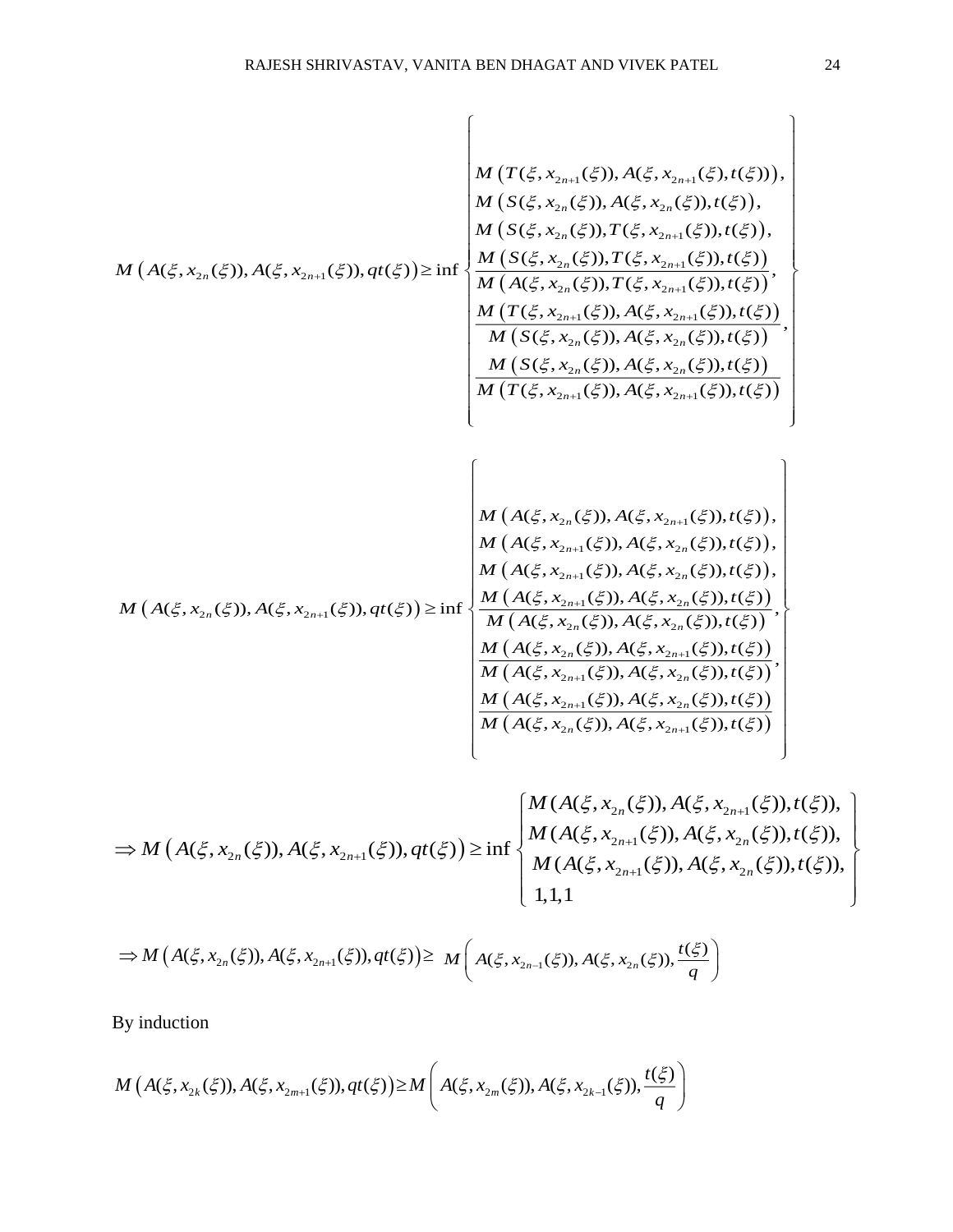$$
M(A(\xi, x_{2n}(\xi)), A(\xi, x_{2n+1}(\xi)), A(\xi, x_{2n+1}(\xi), t(\xi)))
$$
\n
$$
M(A(\xi, x_{2n}(\xi)), A(\xi, x_{2n+1}(\xi)), t(\xi)) = \frac{M(S(\xi, x_{2n}(\xi)), T(\xi, x_{2n+1}(\xi)), t(\xi))}{M(A(\xi, x_{2n}(\xi)), T(\xi, x_{2n+1}(\xi)), t(\xi))},
$$
\n
$$
M(A(\xi, x_{2n}(\xi)), A(\xi, x_{2n}(\xi)), T(\xi, x_{2n+1}(\xi)), t(\xi))
$$
\n
$$
M(B(\xi, x_{2n}(\xi)), T(\xi, x_{2n+1}(\xi)), t(\xi))
$$
\n
$$
M(B(\xi, x_{2n}(\xi)), T(\xi, x_{2n+1}(\xi)), t(\xi))
$$
\n
$$
M(B(\xi, x_{2n}(\xi)), A(\xi, x_{2n}(\xi)), t(\xi))
$$
\n
$$
M(B(\xi, x_{2n}(\xi)), A(\xi, x_{2n}(\xi)), t(\xi))
$$
\n
$$
M(B(\xi, x_{2n}(\xi)), A(\xi, x_{2n+1}(\xi)), t(\xi))
$$
\n
$$
M(A(\xi, x_{2n}(\xi)), A(\xi, x_{2n+1}(\xi)), t(\xi))
$$
\n
$$
M(A(\xi, x_{2n}(\xi)), A(\xi, x_{2n+1}(\xi)), t(\xi))
$$
\n
$$
M(A(\xi, x_{2n}(\xi)), A(\xi, x_{2n}(\xi)), t(\xi))
$$
\n
$$
M(A(\xi, x_{2n}(\xi)), A(\xi, x_{2n}(\xi)), t(\xi))
$$
\n
$$
M(A(\xi, x_{2n}(\xi)), A(\xi, x_{2n}(\xi)), t(\xi))
$$
\n
$$
M(A(\xi, x_{2n}(\xi)), A(\xi, x_{2n}(\xi)), t(\xi))
$$
\n
$$
M(A(\xi, x_{2n}(\xi)), A(\xi, x_{2n}(\xi)), t(\xi))
$$
\n
$$
M(A(\xi, x_{2n}(\xi)), A(\xi, x_{2n}(\xi)), t(\xi))
$$
\n
$$
M(A(\xi, x_{2n}(\xi)), A(\xi, x_{2n}(\xi)),
$$

$$
\Rightarrow M(A(\xi, x_{2n}(\xi)), A(\xi, x_{2n+1}(\xi)), qt(\xi)) \ge \inf \begin{cases} M(A(\xi, x_{2n}(\xi)), A(\xi, x_{2n+1}(\xi)), t(\xi)), \\ M(A(\xi, x_{2n+1}(\xi)), A(\xi, x_{2n}(\xi)), t(\xi)), \\ M(A(\xi, x_{2n+1}(\xi)), A(\xi, x_{2n}(\xi)), t(\xi)), \\ 1, 1, 1 \end{cases}
$$

$$
\Rightarrow M(A(\xi, x_{2n}(\xi)), A(\xi, x_{2n+1}(\xi)), qt(\xi)) \ge M\left(A(\xi, x_{2n-1}(\xi)), A(\xi, x_{2n}(\xi)), \frac{t(\xi)}{q}\right)
$$

By induction

$$
M(A(\xi, x_{2k}(\xi)), A(\xi, x_{2m+1}(\xi)), qt(\xi)) \ge M\left(A(\xi, x_{2m}(\xi)), A(\xi, x_{2k-1}(\xi)), \frac{t(\xi)}{q}\right)
$$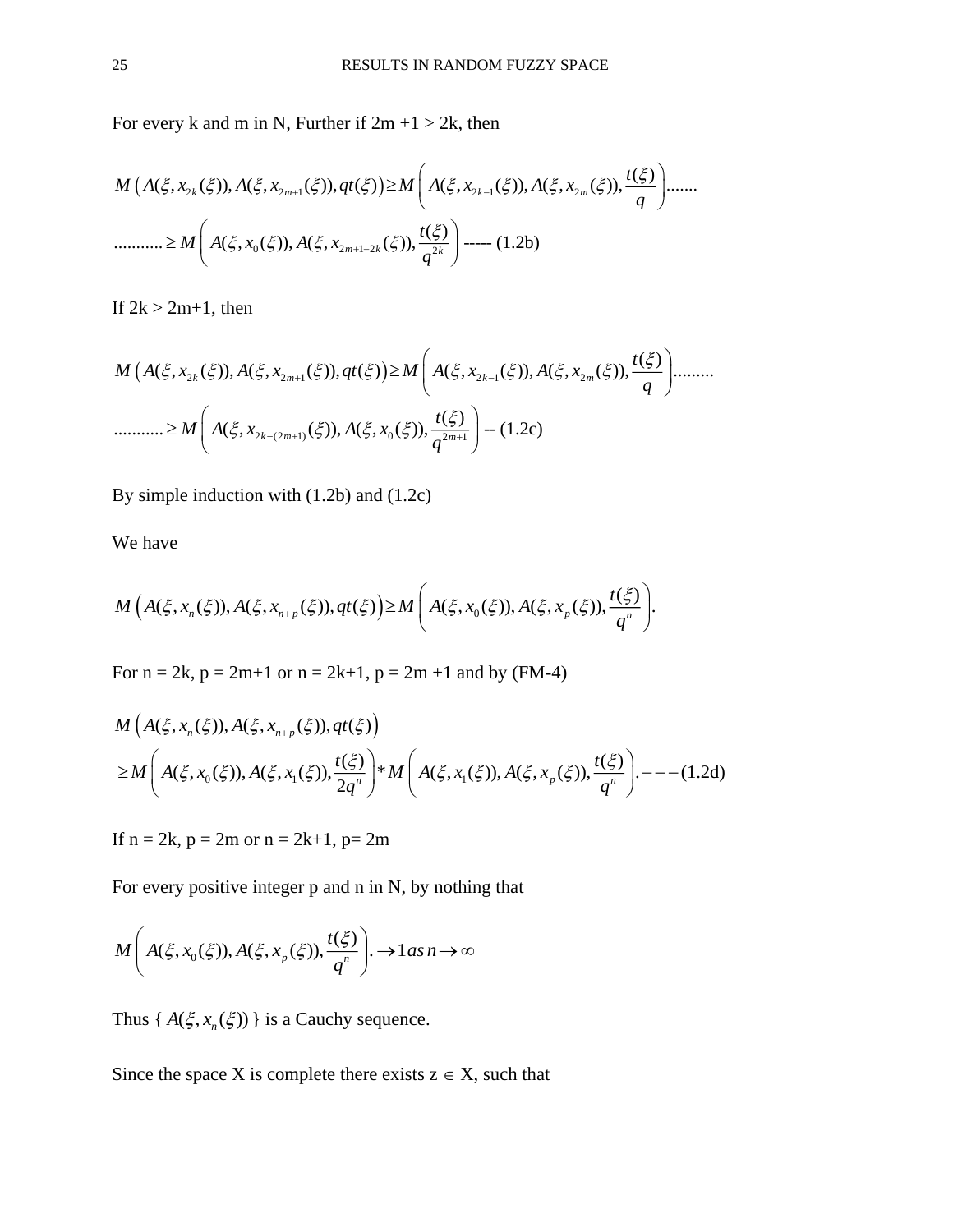For every k and m in N, Further if  $2m + 1 > 2k$ , then

 2 2 1 2 1 2 0 2 1 2 2 ( ) ( , ( )), ( , ( )), ( ) ( , ( )), ( , ( )), ....... ( ) ........... ( , ( )), ( , ( )), ----- (1.2b) *k m k m m k k <sup>t</sup> M A x A x qt M A x A x q <sup>t</sup> M A x A x q* 

If  $2k > 2m+1$ , then

 2 2 1 2 1 2 2 (2 1) 0 2 1 ( ) ( , ( )), ( , ( )), ( ) ( , ( )), ( , ( )), ......... ( ) ........... ( , ( )), ( , ( )), -- (1.2c) *k m k m k m <sup>m</sup> <sup>t</sup> M A x A x qt M A x A x q <sup>t</sup> M A x A x q* 

By simple induction with (1.2b) and (1.2c)

We have

$$
M\Big(A(\xi,x_n(\xi)),A(\xi,x_{n+p}(\xi)),qt(\xi)\Big)\geq M\Bigg(A(\xi,x_0(\xi)),A(\xi,x_p(\xi)),\frac{t(\xi)}{q^n}\Bigg).
$$

For  $n = 2k$ ,  $p = 2m+1$  or  $n = 2k+1$ ,  $p = 2m +1$  and by (FM-4)

$$
M(A(\xi, x_n(\xi)), A(\xi, x_{n+p}(\xi)), qt(\xi))
$$
  
\n
$$
\geq M\left(A(\xi, x_0(\xi)), A(\xi, x_1(\xi)), \frac{t(\xi)}{2q^n}\right)^* M\left(A(\xi, x_1(\xi)), A(\xi, x_p(\xi)), \frac{t(\xi)}{q^n}\right) \cdot ---(1.2d)
$$

If  $n = 2k$ ,  $p = 2m$  or  $n = 2k+1$ ,  $p = 2m$ 

For every positive integer p and n in N, by nothing that

$$
M\left(A(\xi, x_0(\xi)), A(\xi, x_p(\xi)), \frac{t(\xi)}{q^n}\right) \to 1 \text{ as } n \to \infty
$$

Thus  $\{A(\xi, x_n(\xi))\}$  is a Cauchy sequence.

Since the space X is complete there exists  $z \in X$ , such that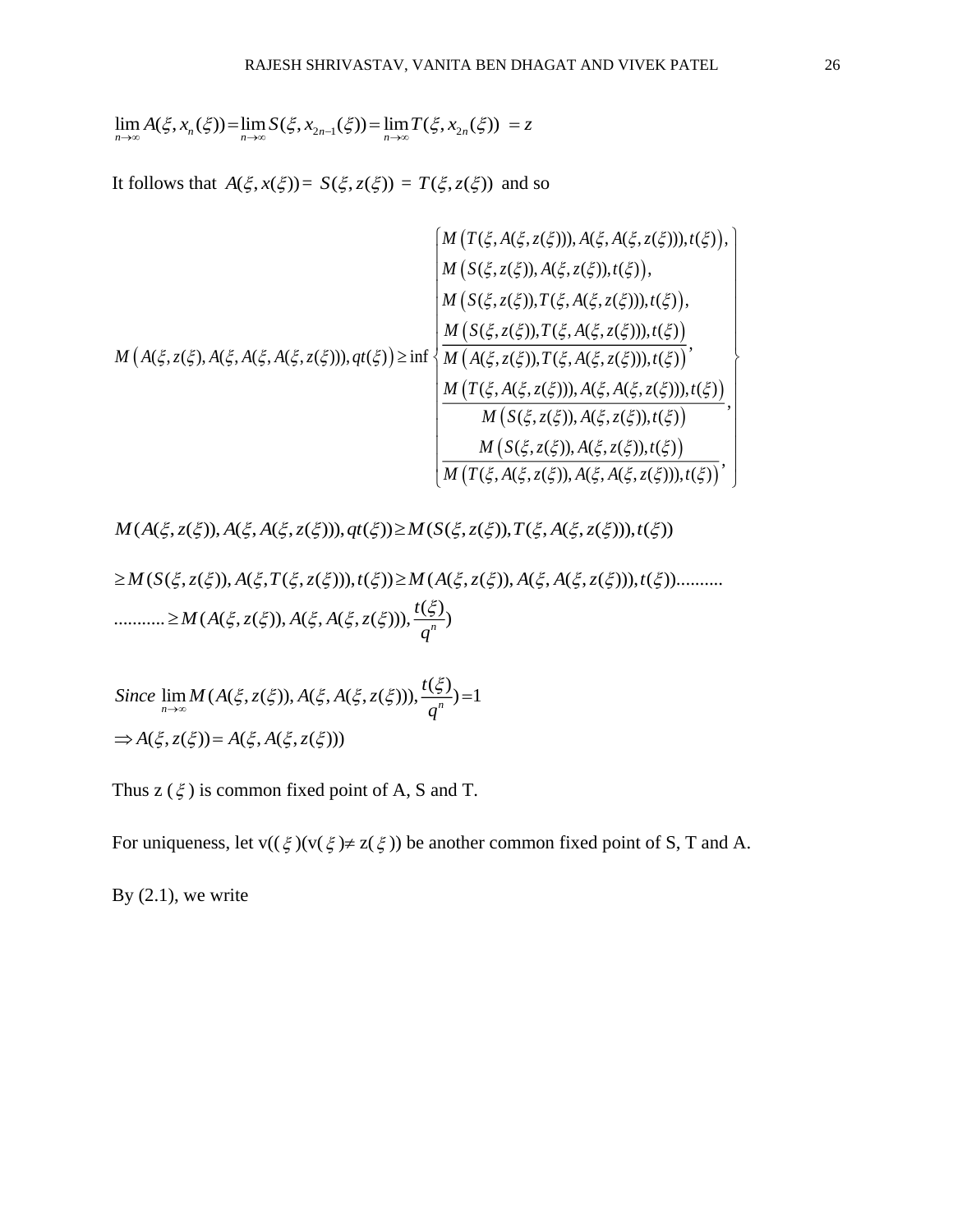$\lim_{n\to\infty} A(\xi, x_n(\xi)) = \lim_{n\to\infty} S(\xi, x_{2n-1}(\xi)) = \lim_{n\to\infty} T(\xi, x_{2n}(\xi)) = z$ 

It follows that  $A(\xi, x(\xi)) = S(\xi, z(\xi)) = T(\xi, z(\xi))$  and so

$$
M(A(\xi, z(\xi), A(\xi, A(\xi, z(\xi))), qt(\xi))) = \begin{cases} M(T(\xi, A(\xi, z(\xi))), A(\xi, A(\xi, z(\xi))), t(\xi)), \\ M(S(\xi, z(\xi)), A(\xi, A(\xi, z(\xi))), t(\xi)), \\ M(S(\xi, z(\xi)), T(\xi, A(\xi, z(\xi))), t(\xi)), \\ M(S(\xi, z(\xi)), T(\xi, A(\xi, z(\xi))), t(\xi)) \\ M(S(\xi, z(\xi)), T(\xi, A(\xi, z(\xi))), t(\xi)) \\ M(T(\xi, A(\xi, z(\xi)), A(\xi, A(\xi, z(\xi))), t(\xi)) \\ M(S(\xi, z(\xi)), A(\xi, z(\xi)), t(\xi)) \\ M(S(\xi, z(\xi)), A(\xi, z(\xi)), t(\xi)) \\ M(T(\xi, A(\xi, z(\xi)), A(\xi, z(\xi)), t(\xi)) \\ M(T(\xi, A(\xi, z(\xi)), A(\xi, A(\xi, z(\xi))), t(\xi)) \end{cases}
$$

 $M(A(\xi, z(\xi)), A(\xi, A(\xi, z(\xi))), qt(\xi)) \geq M(S(\xi, z(\xi)), T(\xi, A(\xi, z(\xi))), t(\xi))$ 

$$
\geq M(S(\xi, z(\xi)), A(\xi, T(\xi, z(\xi))), t(\xi)) \geq M(A(\xi, z(\xi)), A(\xi, A(\xi, z(\xi))), t(\xi)) \dots \dots \dots \dots \geq M(A(\xi, z(\xi)), A(\xi, A(\xi, z(\xi))), \frac{t(\xi)}{q^n})
$$

 $\lim_{n\to\infty} M(A(\xi, z(\xi)), A(\xi, A(\xi, z(\xi))), \frac{t(\xi)}{a^n}) = 1$  $\Rightarrow A(\xi, z(\xi)) = A(\xi, A(\xi, z(\xi)))$ *Since*  $\lim M(A(\xi, z(\xi)), A(\xi, A(\xi, z(\xi)))$ ,  $\frac{t}{\xi}$ *q*  $\lim_{n \to \infty} M(A(\xi, z(\xi)), A(\xi, A(\xi, z(\xi))), \frac{t(\xi)}{a^n}) =$ 

Thus  $z(\xi)$  is common fixed point of A, S and T.

For uniqueness, let  $v((\xi)(v(\xi) \neq z(\xi))$  be another common fixed point of S, T and A.

By  $(2.1)$ , we write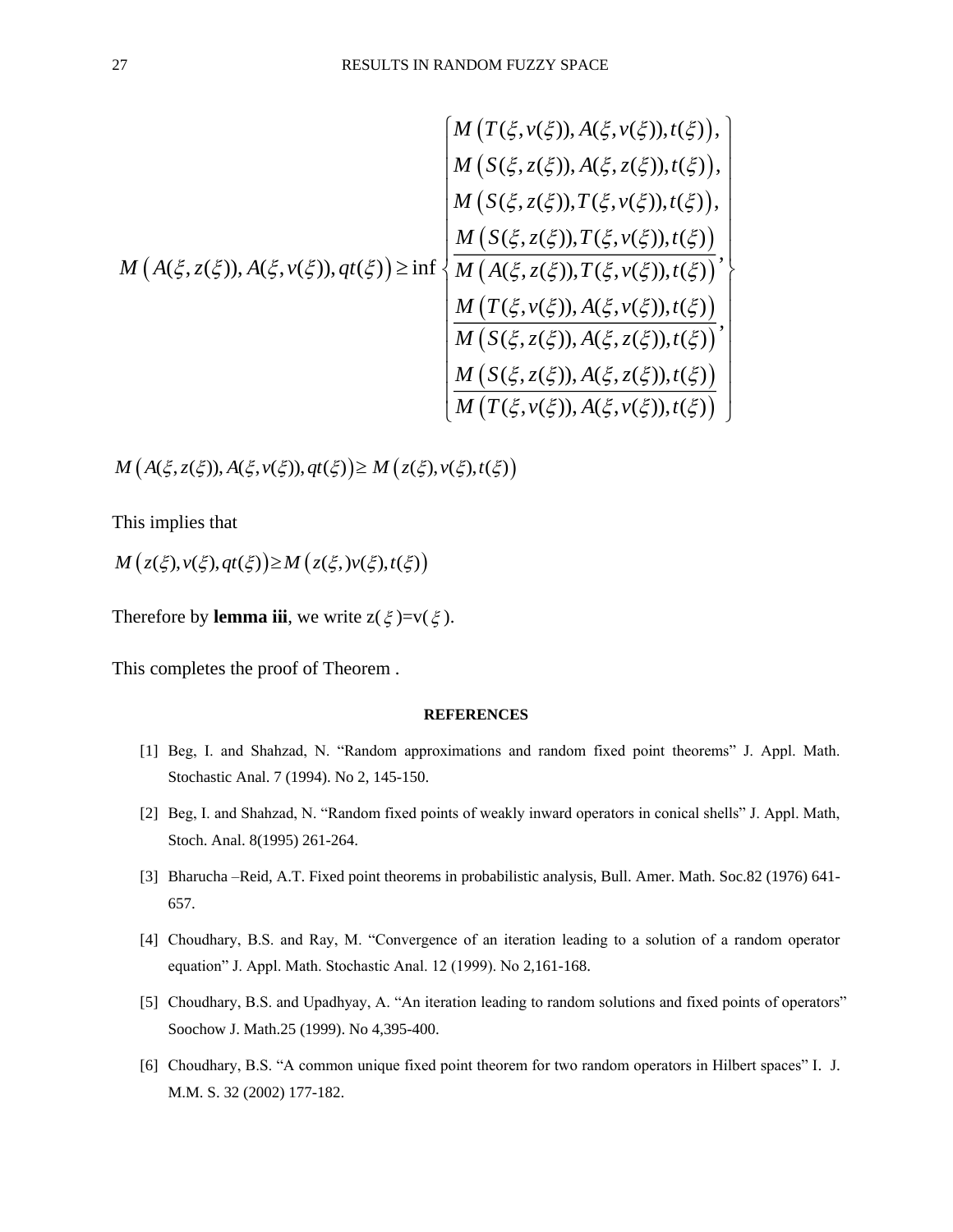$$
M\left(A(\xi,z(\xi)),A(\xi,v(\xi)),A(\xi,z(\xi)),f(\xi)\right),\n\begin{bmatrix}\nM\left(T(\xi,v(\xi)),A(\xi,z(\xi)),t(\xi)\right), \\
M\left(S(\xi,z(\xi)),T(\xi,v(\xi)),t(\xi)\right), \\
M\left(S(\xi,z(\xi)),T(\xi,v(\xi)),t(\xi)\right), \\
M\left(S(\xi,z(\xi)),T(\xi,v(\xi)),t(\xi)\right), \\
M\left(A(\xi,z(\xi)),A(\xi,v(\xi)),t(\xi)\right), \\
M\left(T(\xi,v(\xi)),A(\xi,v(\xi)),t(\xi)\right), \\
M\left(S(\xi,z(\xi)),A(\xi,z(\xi)),t(\xi)\right), \\
M\left(S(\xi,z(\xi)),A(\xi,z(\xi)),t(\xi)\right), \\
M\left(S(\xi,z(\xi)),A(\xi,z(\xi)),t(\xi)\right),\n\end{bmatrix}
$$

 $M(A(\xi, z(\xi)), A(\xi, v(\xi)), qt(\xi)) \geq M(z(\xi), v(\xi), t(\xi))$ 

This implies that

 $M(z(\xi), v(\xi), qt(\xi)) \geq M(z(\xi, v(\xi), t(\xi)))$ 

Therefore by **lemma iii**, we write  $z(\xi) = v(\xi)$ .

This completes the proof of Theorem .

## **REFERENCES**

- [1] Beg, I. and Shahzad, N. "Random approximations and random fixed point theorems" J. Appl. Math. Stochastic Anal. 7 (1994). No 2, 145-150.
- [2] Beg, I. and Shahzad, N. "Random fixed points of weakly inward operators in conical shells" J. Appl. Math, Stoch. Anal. 8(1995) 261-264.
- [3] Bharucha –Reid, A.T. Fixed point theorems in probabilistic analysis, Bull. Amer. Math. Soc.82 (1976) 641- 657.
- [4] Choudhary, B.S. and Ray, M. "Convergence of an iteration leading to a solution of a random operator equation" J. Appl. Math. Stochastic Anal. 12 (1999). No 2,161-168.
- [5] Choudhary, B.S. and Upadhyay, A. "An iteration leading to random solutions and fixed points of operators" Soochow J. Math.25 (1999). No 4,395-400.
- [6] Choudhary, B.S. "A common unique fixed point theorem for two random operators in Hilbert spaces" I. J. M.M. S. 32 (2002) 177-182.